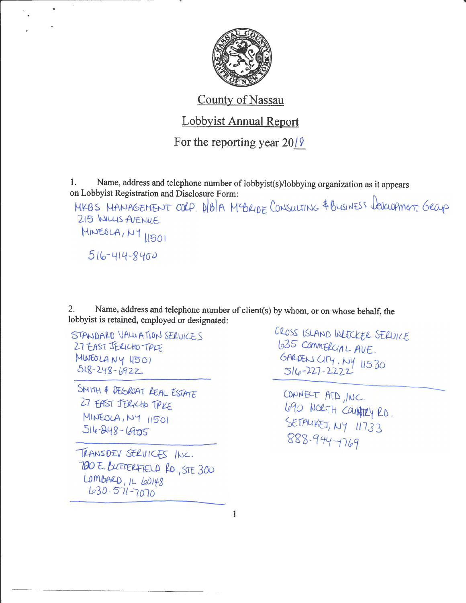

## **County of Nassau**

## **Lobbyist Annual Report**

For the reporting year  $20/\sqrt{2}$ 

Name, address and telephone number of lobbyist(s)/lobbying organization as it appears  $\mathbf{1}$ . on Lobbyist Registration and Disclosure Form:

MKBS MANAGEMENT COLP. DIBIA MYBRIDE CONSULTING & BUSINESS LEVELOPMENT GROUP 215 WILLIS AVENUE MINEOLA, NY 11501 516-414-8400

Name, address and telephone number of client(s) by whom, or on whose behalf, the 2. lobbyist is retained, employed or designated:

STANDARD VALUATION SERVICES 27 EAST JERICHO TREE MINEOLANY 11501  $518 - 248 - 6922$ 

SNITH & DEGROAT REAL ESTATE 27 EAST JERICHO TRKE MINEOLA, NY 11501 516-248-6905

TRANSDEV SERVICES INC. "DO E. BUTTERFIELD RD., STE 300  $LombARD, ILLOI48$ 630-571-7070

CROSS ISLAND WEECKER SERVICE 1035 COMMERGIAL AVE. GARDEN CITY, NY 11530  $516 - 227 - 2222$ 

CONNECT ATD, INC. 690 NORTH COUNTRY RD. SETAUKET, NY 11733 888-944-4769

 $\mathbf{1}$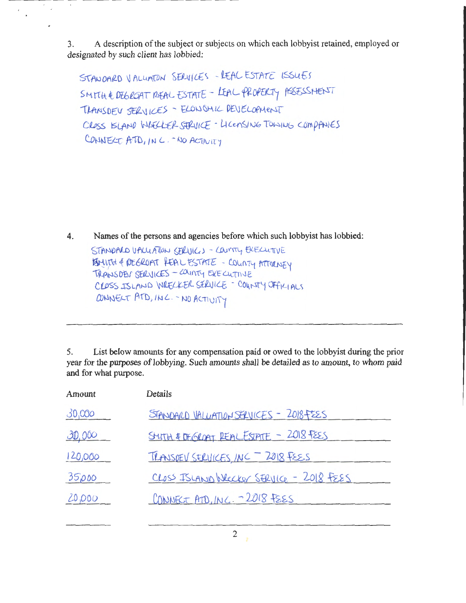A description of the subject or subjects on which each lobby ist retained, employed or 3. designated by such client has lobbied:

STANDARD VALUATON SERVICES -REAL ESTATE ISSUES SMITH & DEGROAT REAL ESTATE - LEAL PROPERTY ASSESSMENT TRANSDEV SERVICES - ELONOMIC DEVELOPMENT CROSS KLAND WHELLER STRUICE - LICENSING TOWING COMPANIES CONNECT ATD, IN C. - NO ACTIVITY

4. Names of the persons and agencies before which such lobby ist has lobbied:

STANDARD VALUATION SERVICES - COUNTY EXECUTIVE BINITH & REGROAT FEAL ESTATE - COUNTY ATTORNEY TRANSDEN SERVICES - COUNTY EXECUTIVE CLOSS ISLAND WRECKER SERVICE - COUNTY OFFICIALS CONNELT ATD, INC. - NO ACTIVITY

5. List below amounts for any compensation paid or owed to the lobbyist during the prior year for the purposes of lobbying. Such amounts shall be detailed as to amount, to whom paid and for what purpose.

| Amount  | Details                                 |  |
|---------|-----------------------------------------|--|
| 30,000  | STANDARD VALUATION SERVICES - 2018FEES  |  |
| 30,000  | STITH & DEGRAT REALESTATE - 2018 FEES   |  |
| 120,000 | TRANSDEV SERVICES, INC - 2018 FEES      |  |
| 35,000  | CLOSS ISLAND Wecker SERVICE - 2018 FEES |  |
| 20,000  | CONNECT ATD, INC. - 2018 FSES           |  |
|         |                                         |  |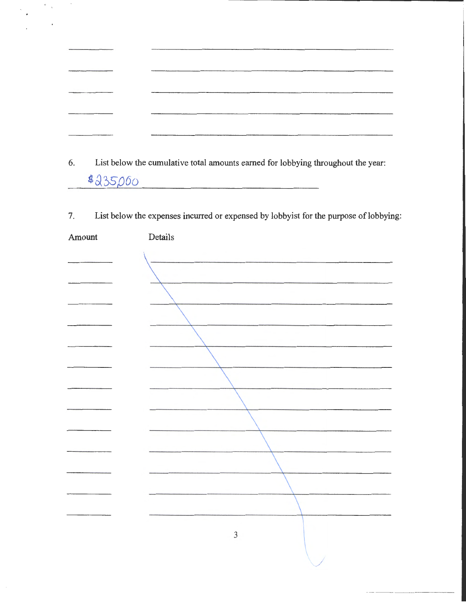| The content of the content of the content of the content of the content of the content of the content of the con- |         |
|-------------------------------------------------------------------------------------------------------------------|---------|
|                                                                                                                   | ------- |
|                                                                                                                   | ___     |
|                                                                                                                   | _______ |
|                                                                                                                   |         |

 $\frac{c}{\sqrt{2}}$ 

 $\begin{aligned} \frac{\partial \mathcal{L}_{\mathbf{p}}}{\partial \mathbf{p}} & = & \frac{\partial \mathcal{L}_{\mathbf{p}}}{\partial \mathbf{p}} \mathcal{L}_{\mathbf{p}} \\ & = & \frac{\partial \mathcal{L}_{\mathbf{p}}}{\partial \mathbf{p}} \mathcal{L}_{\mathbf{p}} \end{aligned}$ 

 $\sim$ 

6. List below the cumulative total amounts earned for lobbying throughout the year: \$235,000

7. List below the expenses incurred or expensed by lobbyist for the purpose of lobbying:

| Amount | Details        |
|--------|----------------|
|        |                |
|        |                |
|        |                |
|        |                |
|        |                |
|        |                |
|        |                |
|        |                |
|        |                |
|        |                |
|        |                |
|        |                |
|        |                |
|        |                |
|        |                |
|        |                |
|        |                |
|        | $\mathfrak{Z}$ |
|        |                |